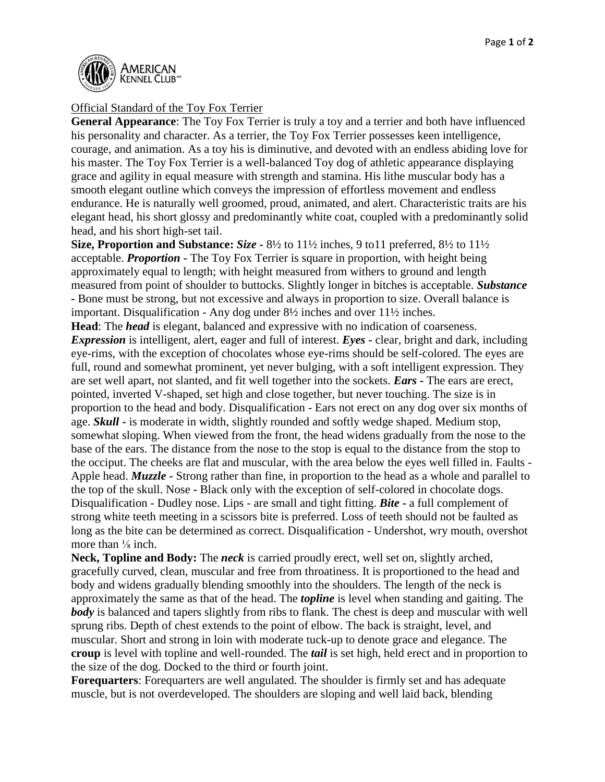

## Official Standard of the Toy Fox Terrier

**General Appearance**: The Toy Fox Terrier is truly a toy and a terrier and both have influenced his personality and character. As a terrier, the Toy Fox Terrier possesses keen intelligence, courage, and animation. As a toy his is diminutive, and devoted with an endless abiding love for his master. The Toy Fox Terrier is a well-balanced Toy dog of athletic appearance displaying grace and agility in equal measure with strength and stamina. His lithe muscular body has a smooth elegant outline which conveys the impression of effortless movement and endless endurance. He is naturally well groomed, proud, animated, and alert. Characteristic traits are his elegant head, his short glossy and predominantly white coat, coupled with a predominantly solid head, and his short high-set tail.

**Size, Proportion and Substance:** *Size -* 8½ to 11½ inches, 9 to11 preferred, 8½ to 11½ acceptable. *Proportion* **-** The Toy Fox Terrier is square in proportion, with height being approximately equal to length; with height measured from withers to ground and length measured from point of shoulder to buttocks. Slightly longer in bitches is acceptable. *Substance -* Bone must be strong, but not excessive and always in proportion to size. Overall balance is important. Disqualification - Any dog under 8½ inches and over 11½ inches.

**Head**: The *head* is elegant, balanced and expressive with no indication of coarseness. *Expression* is intelligent, alert, eager and full of interest. *Eyes* **-** clear, bright and dark, including eye-rims, with the exception of chocolates whose eye-rims should be self-colored. The eyes are full, round and somewhat prominent, yet never bulging, with a soft intelligent expression. They are set well apart, not slanted, and fit well together into the sockets. *Ears* **-** The ears are erect, pointed, inverted V-shaped, set high and close together, but never touching. The size is in proportion to the head and body. Disqualification - Ears not erect on any dog over six months of age. *Skull* **-** is moderate in width, slightly rounded and softly wedge shaped. Medium stop, somewhat sloping. When viewed from the front, the head widens gradually from the nose to the base of the ears. The distance from the nose to the stop is equal to the distance from the stop to the occiput. The cheeks are flat and muscular, with the area below the eyes well filled in. Faults - Apple head. *Muzzle* **-** Strong rather than fine, in proportion to the head as a whole and parallel to the top of the skull. Nose **-** Black only with the exception of self-colored in chocolate dogs. Disqualification - Dudley nose. Lips - are small and tight fitting. *Bite* **-** a full complement of strong white teeth meeting in a scissors bite is preferred. Loss of teeth should not be faulted as long as the bite can be determined as correct. Disqualification - Undershot, wry mouth, overshot more than  $\frac{1}{8}$  inch.

**Neck, Topline and Body:** The *neck* is carried proudly erect, well set on, slightly arched, gracefully curved, clean, muscular and free from throatiness. It is proportioned to the head and body and widens gradually blending smoothly into the shoulders. The length of the neck is approximately the same as that of the head. The *topline* is level when standing and gaiting. The *body* is balanced and tapers slightly from ribs to flank. The chest is deep and muscular with well sprung ribs. Depth of chest extends to the point of elbow. The back is straight, level, and muscular. Short and strong in loin with moderate tuck-up to denote grace and elegance. The **croup** is level with topline and well-rounded. The *tail* is set high, held erect and in proportion to the size of the dog. Docked to the third or fourth joint.

**Forequarters**: Forequarters are well angulated. The shoulder is firmly set and has adequate muscle, but is not overdeveloped. The shoulders are sloping and well laid back, blending